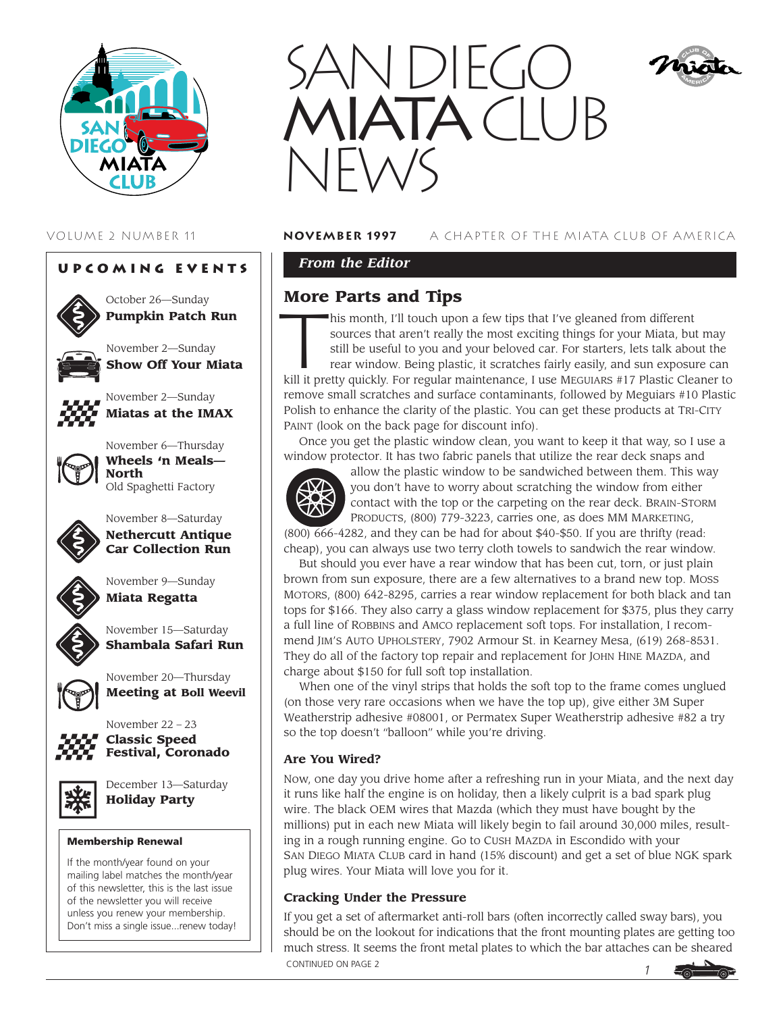





October 26—Sunday **Pumpkin Patch Run**



November 2—Sunday **Show Off Your Miata**



November 2—Sunday **Miatas at the IMAX**



November 6—Thursday **Wheels 'n Meals— North** Old Spaghetti Factory



November 8—Saturday **Nethercutt Antique Car Collection Run**



November 9—Sunday **Miata Regatta**



November 15—Saturday **Shambala Safari Run**



November 20—Thursday **Meeting at Boll Weevil**



November 22 – 23 **Classic Speed Festival, Coronado**



December 13—Saturday **Holiday Party**

#### **Membership Renewal**

If the month/year found on your mailing label matches the month/year of this newsletter, this is the last issue of the newsletter you will receive unless you renew your membership. Don't miss a single issue...renew today!



### VOLUME 2 NUMBER 11 **november 1997** A CHAPTER OF THE MIATA CLUB OF AMERICA

*From the Editor* 

# **More Parts and Tips**

Inis month, I'll touch upon a few tips that I've gleaned from different sources that aren't really the most exciting things for your Miata, but may still be useful to you and your beloved car. For starters, lets talk about the

rear window. Being plastic, it scratches fairly easily, and sun exposure can kill it pretty quickly. For regular maintenance, I use MEGUIARS #17 Plastic Cleaner to remove small scratches and surface contaminants, followed by Meguiars #10 Plastic Polish to enhance the clarity of the plastic. You can get these products at TRI-CITY PAINT (look on the back page for discount info).

Once you get the plastic window clean, you want to keep it that way, so I use a window protector. It has two fabric panels that utilize the rear deck snaps and



allow the plastic window to be sandwiched between them. This way you don't have to worry about scratching the window from either contact with the top or the carpeting on the rear deck. BRAIN-STORM PRODUCTS, (800) 779-3223, carries one, as does MM MARKETING,

 $(800)$  666-4282, and they can be had for about \$40-\$50. If you are thrifty (read: cheap), you can always use two terry cloth towels to sandwich the rear window.

But should you ever have a rear window that has been cut, torn, or just plain brown from sun exposure, there are a few alternatives to a brand new top. MOSS MOTORS, (800) 642-8295, carries a rear window replacement for both black and tan tops for \$166. They also carry a glass window replacement for \$375, plus they carry a full line of ROBBINS and AMCO replacement soft tops. For installation, I recommend JIM'S AUTO UPHOLSTERY, 7902 Armour St. in Kearney Mesa, (619) 268-8531. They do all of the factory top repair and replacement for JOHN HINE MAZDA, and charge about \$150 for full soft top installation.

When one of the vinyl strips that holds the soft top to the frame comes unglued (on those very rare occasions when we have the top up), give either 3M Super Weatherstrip adhesive #08001, or Permatex Super Weatherstrip adhesive #82 a try so the top doesn't "balloon" while you're driving.

#### **Are You Wired?**

Now, one day you drive home after a refreshing run in your Miata, and the next day it runs like half the engine is on holiday, then a likely culprit is a bad spark plug wire. The black OEM wires that Mazda (which they must have bought by the millions) put in each new Miata will likely begin to fail around 30,000 miles, resulting in a rough running engine. Go to CUSH MAZDA in Escondido with your SAN DIEGO MIATA CLUB card in hand (15% discount) and get a set of blue NGK spark plug wires. Your Miata will love you for it.

#### **Cracking Under the Pressure**

*1* If you get a set of aftermarket anti-roll bars (often incorrectly called sway bars), you should be on the lookout for indications that the front mounting plates are getting too much stress. It seems the front metal plates to which the bar attaches can be sheared CONTINUED ON PAGE 2

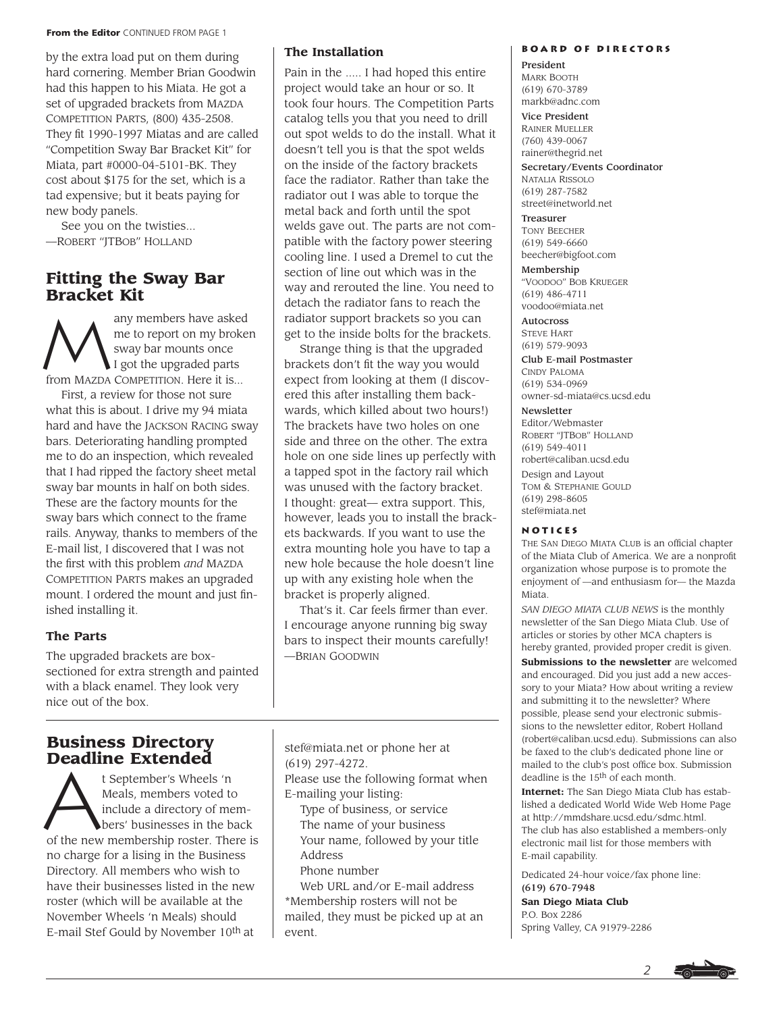#### **From the Editor** CONTINUED FROM PAGE 1

by the extra load put on them during hard cornering. Member Brian Goodwin had this happen to his Miata. He got a set of upgraded brackets from MAZDA COMPETITION PARTS, (800) 435-2508. They fit 1990-1997 Miatas and are called "Competition Sway Bar Bracket Kit" for Miata, part #0000-04-5101-BK. They cost about \$175 for the set, which is a tad expensive; but it beats paying for new body panels.

See you on the twisties... —ROBERT "JTBOB" HOLLAND

### **Fitting the Sway Bar Bracket Kit**

any members have asked me to report on my broken sway bar mounts once I got the upgraded parts from MAZDA COMPETITION. Here it is... First, a review for those not sure what this is about. I drive my 94 miata hard and have the JACKSON RACING sway bars. Deteriorating handling prompted me to do an inspection, which revealed that I had ripped the factory sheet metal sway bar mounts in half on both sides. These are the factory mounts for the sway bars which connect to the frame rails. Anyway, thanks to members of the E-mail list, I discovered that I was not the first with this problem *and* MAZDA COMPETITION PARTS makes an upgraded mount. I ordered the mount and just finished installing it.

#### **The Parts**

The upgraded brackets are boxsectioned for extra strength and painted with a black enamel. They look very nice out of the box.

# **Business Directory**

**Deadline Extended**<br>
<sup>t September's Wheels 'n<br>
Meals, members voted t<br>
include a directory of moders' businesses in the b</sup> Meals, members voted to include a directory of members' businesses in the back of the new membership roster. There is no charge for a lising in the Business Directory. All members who wish to have their businesses listed in the new roster (which will be available at the November Wheels 'n Meals) should E-mail Stef Gould by November 10th at

#### **The Installation**

Pain in the ..... I had hoped this entire project would take an hour or so. It took four hours. The Competition Parts catalog tells you that you need to drill out spot welds to do the install. What it doesn't tell you is that the spot welds on the inside of the factory brackets face the radiator. Rather than take the radiator out I was able to torque the metal back and forth until the spot welds gave out. The parts are not compatible with the factory power steering cooling line. I used a Dremel to cut the section of line out which was in the way and rerouted the line. You need to detach the radiator fans to reach the radiator support brackets so you can get to the inside bolts for the brackets.

Strange thing is that the upgraded brackets don't fit the way you would expect from looking at them (I discovered this after installing them backwards, which killed about two hours!) The brackets have two holes on one side and three on the other. The extra hole on one side lines up perfectly with a tapped spot in the factory rail which was unused with the factory bracket. I thought: great— extra support. This, however, leads you to install the brackets backwards. If you want to use the extra mounting hole you have to tap a new hole because the hole doesn't line up with any existing hole when the bracket is properly aligned.

That's it. Car feels firmer than ever. I encourage anyone running big sway bars to inspect their mounts carefully! —BRIAN GOODWIN

stef@miata.net or phone her at (619) 297-4272.

Please use the following format when E-mailing your listing:

- Type of business, or service The name of your business
- Your name, followed by your title Address
- Phone number

Web URL and/or E-mail address \*Membership rosters will not be mailed, they must be picked up at an event.

#### **Board of Directors**

President MARK BOOTH (619) 670-3789 markb@adnc.com

#### Vice President

RAINER MUELLER (760) 439-0067 rainer@thegrid.net

Secretary/Events Coordinator NATALIA RISSOLO (619) 287-7582 street@inetworld.net

Treasurer TONY BEECHER (619) 549-6660 beecher@bigfoot.com

Membership "VOODOO" BOB KRUEGER (619) 486-4711 voodoo@miata.net

Autocross STEVE HART (619) 579-9093

Club E-mail Postmaster CINDY PALOMA (619) 534-0969 owner-sd-miata@cs.ucsd.edu

#### Newsletter

Editor/Webmaster ROBERT "JTBOB" HOLLAND (619) 549-4011 robert@caliban.ucsd.edu Design and Layout TOM & STEPHANIE GOULD (619) 298-8605 stef@miata.net

#### **Notices**

THE SAN DIEGO MIATA CLUB is an official chapter of the Miata Club of America. We are a nonprofit organization whose purpose is to promote the enjoyment of —and enthusiasm for— the Mazda Miata.

*SAN DIEGO MIATA CLUB NEWS* is the monthly newsletter of the San Diego Miata Club. Use of articles or stories by other MCA chapters is hereby granted, provided proper credit is given.

**Submissions to the newsletter** are welcomed and encouraged. Did you just add a new accessory to your Miata? How about writing a review and submitting it to the newsletter? Where possible, please send your electronic submissions to the newsletter editor, Robert Holland (robert@caliban.ucsd.edu). Submissions can also be faxed to the club's dedicated phone line or mailed to the club's post office box. Submission deadline is the 15th of each month.

**Internet:** The San Diego Miata Club has established a dedicated World Wide Web Home Page at http://mmdshare.ucsd.edu/sdmc.html. The club has also established a members-only electronic mail list for those members with E-mail capability.

Dedicated 24-hour voice/fax phone line: (619) 670-7948

**San Diego Miata Club** P.O. Box 2286 Spring Valley, CA 91979-2286

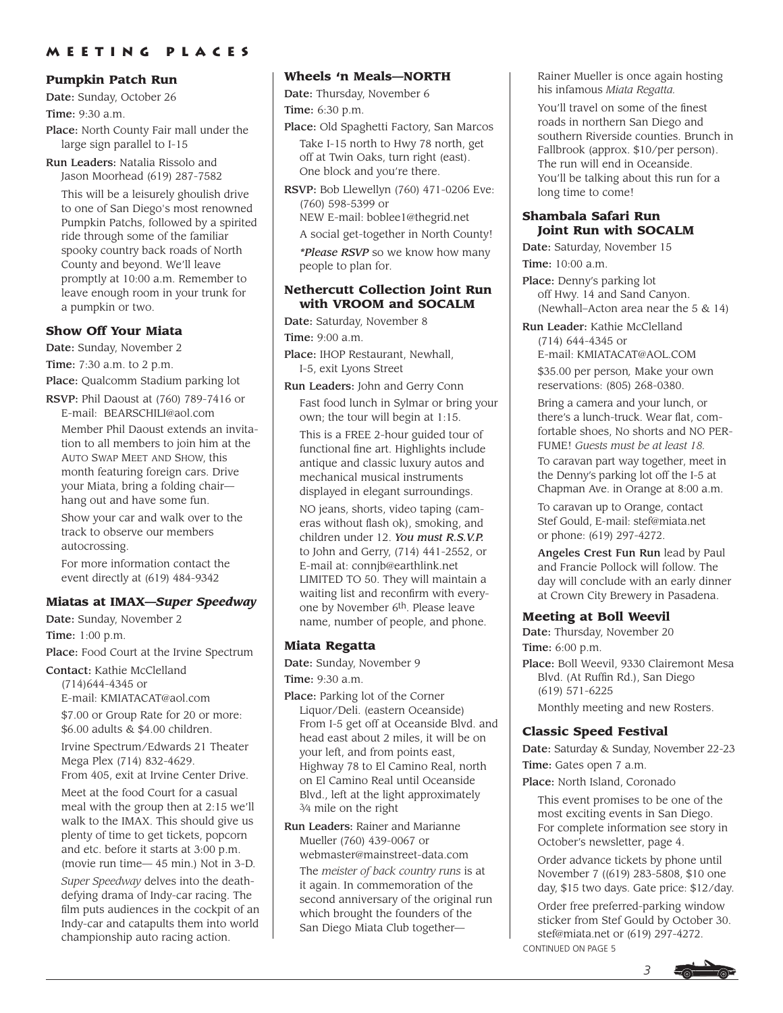#### **Pumpkin Patch Run**

Date: Sunday, October 26

Time: 9:30 a.m.

Place: North County Fair mall under the large sign parallel to I-15

Run Leaders: Natalia Rissolo and Jason Moorhead (619) 287-7582

This will be a leisurely ghoulish drive to one of San Diego's most renowned Pumpkin Patchs, followed by a spirited ride through some of the familiar spooky country back roads of North County and beyond. We'll leave promptly at 10:00 a.m. Remember to leave enough room in your trunk for a pumpkin or two.

### **Show Off Your Miata**

Date: Sunday, November 2

Time: 7:30 a.m. to 2 p.m.

Place: Qualcomm Stadium parking lot

RSVP: Phil Daoust at (760) 789-7416 or E-mail: BEARSCHILI@aol.com

Member Phil Daoust extends an invitation to all members to join him at the AUTO SWAP MEET AND SHOW, this month featuring foreign cars. Drive your Miata, bring a folding chair hang out and have some fun.

Show your car and walk over to the track to observe our members autocrossing.

For more information contact the event directly at (619) 484-9342

#### **Miatas at IMAX—***Super Speedway*

Date: Sunday, November 2

Time: 1:00 p.m.

Place: Food Court at the Irvine Spectrum

Contact: Kathie McClelland

(714)644-4345 or E-mail: KMIATACAT@aol.com

\$7.00 or Group Rate for 20 or more: \$6.00 adults & \$4.00 children.

Irvine Spectrum/Edwards 21 Theater Mega Plex (714) 832-4629. From 405, exit at Irvine Center Drive.

Meet at the food Court for a casual meal with the group then at 2:15 we'll walk to the IMAX. This should give us plenty of time to get tickets, popcorn and etc. before it starts at 3:00 p.m. (movie run time— 45 min.) Not in 3-D.

*Super Speedway* delves into the deathdefying drama of Indy-car racing. The film puts audiences in the cockpit of an Indy-car and catapults them into world championship auto racing action.

#### **Wheels 'n Meals—NORTH**

Date: Thursday, November 6 Time: 6:30 p.m.

- Place: Old Spaghetti Factory, San Marcos Take I-15 north to Hwy 78 north, get off at Twin Oaks, turn right (east). One block and you're there.
- RSVP: Bob Llewellyn (760) 471-0206 Eve: (760) 598-5399 or
	- NEW E-mail: boblee1@thegrid.net

A social get-together in North County!

*\*Please RSVP* so we know how many people to plan for.

#### **Nethercutt Collection Joint Run with VROOM and SOCALM**

Date: Saturday, November 8

Time: 9:00 a.m.

Place: IHOP Restaurant, Newhall, I-5, exit Lyons Street

Run Leaders: John and Gerry Conn Fast food lunch in Sylmar or bring your own; the tour will begin at 1:15.

This is a FREE 2-hour guided tour of functional fine art. Highlights include antique and classic luxury autos and mechanical musical instruments displayed in elegant surroundings.

NO jeans, shorts, video taping (cameras without flash ok), smoking, and children under 12. *You must R.S.V.P.* to John and Gerry, (714) 441-2552, or E-mail at: connjb@earthlink.net LIMITED TO 50. They will maintain a waiting list and reconfirm with everyone by November 6th. Please leave name, number of people, and phone.

#### **Miata Regatta**

Date: Sunday, November 9 Time: 9:30 a.m.

Place: Parking lot of the Corner Liquor/Deli. (eastern Oceanside) From I-5 get off at Oceanside Blvd. and head east about 2 miles, it will be on your left, and from points east, Highway 78 to El Camino Real, north on El Camino Real until Oceanside Blvd., left at the light approximately

3⁄4 mile on the right

Run Leaders: Rainer and Marianne Mueller (760) 439-0067 or webmaster@mainstreet-data.com The *meister of back country runs* is at it again. In commemoration of the second anniversary of the original run which brought the founders of the San Diego Miata Club togetherRainer Mueller is once again hosting his infamous *Miata Regatta.*

You'll travel on some of the finest roads in northern San Diego and southern Riverside counties. Brunch in Fallbrook (approx. \$10/per person). The run will end in Oceanside. You'll be talking about this run for a long time to come!

#### **Shambala Safari Run Joint Run with SOCALM**

Date: Saturday, November 15 Time: 10:00 a.m.

Place: Denny's parking lot off Hwy. 14 and Sand Canyon. (Newhall–Acton area near the  $5 \& 14$ )

Run Leader: Kathie McClelland (714) 644-4345 or E-mail: KMIATACAT@AOL.COM

\$35.00 per person*,* Make your own reservations: (805) 268-0380.

Bring a camera and your lunch, or there's a lunch-truck. Wear flat, comfortable shoes, No shorts and NO PER-FUME! *Guests must be at least 18.* To caravan part way together, meet in the Denny's parking lot off the I-5 at Chapman Ave. in Orange at 8:00 a.m.

To caravan up to Orange, contact Stef Gould, E-mail: stef@miata.net or phone: (619) 297-4272.

Angeles Crest Fun Run lead by Paul and Francie Pollock will follow. The day will conclude with an early dinner at Crown City Brewery in Pasadena.

#### **Meeting at Boll Weevil**

Date: Thursday, November 20 Time: 6:00 p.m.

Place: Boll Weevil, 9330 Clairemont Mesa Blvd. (At Ruffin Rd.), San Diego (619) 571-6225 Monthly meeting and new Rosters.

# **Classic Speed Festival**

Date: Saturday & Sunday, November 22-23

Time: Gates open 7 a.m.

Place: North Island, Coronado

This event promises to be one of the most exciting events in San Diego. For complete information see story in October's newsletter, page 4.

Order advance tickets by phone until November 7 ((619) 283-5808, \$10 one day, \$15 two days. Gate price: \$12/day.

Order free preferred-parking window sticker from Stef Gould by October 30. stef@miata.net or (619) 297-4272. CONTINUED ON PAGE 5

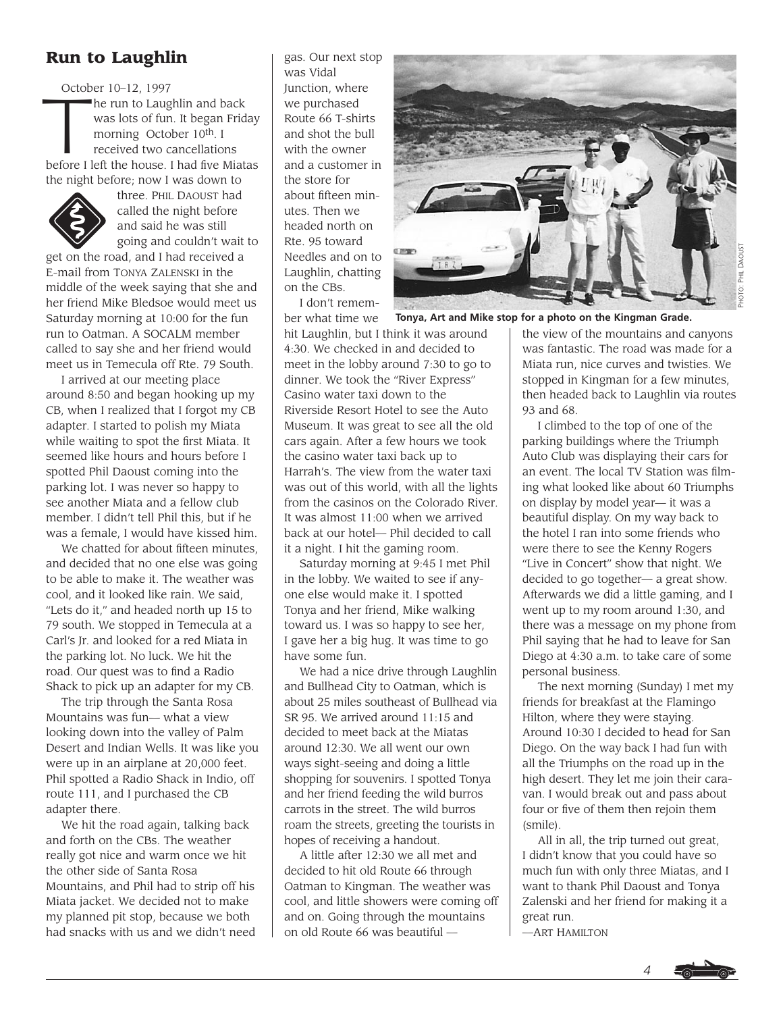# **Run to Laughlin**

October 10–12, 1997 October 10–12, 1997<br>he run to Laughlin and back<br>was lots of fun. It began Fric<br>morning October 10<sup>th</sup>. I<br>received two cancellations was lots of fun. It began Friday morning October 10<sup>th</sup>. I received two cancellations before I left the house. I had five Miatas the night before; now I was down to



three. PHIL DAOUST had called the night before and said he was still going and couldn't wait to

get on the road, and I had received a E-mail from TONYA ZALENSKI in the middle of the week saying that she and her friend Mike Bledsoe would meet us Saturday morning at 10:00 for the fun run to Oatman. A SOCALM member called to say she and her friend would meet us in Temecula off Rte. 79 South.

I arrived at our meeting place around 8:50 and began hooking up my CB, when I realized that I forgot my CB adapter. I started to polish my Miata while waiting to spot the first Miata. It seemed like hours and hours before I spotted Phil Daoust coming into the parking lot. I was never so happy to see another Miata and a fellow club member. I didn't tell Phil this, but if he was a female, I would have kissed him.

We chatted for about fifteen minutes. and decided that no one else was going to be able to make it. The weather was cool, and it looked like rain. We said, "Lets do it," and headed north up 15 to 79 south. We stopped in Temecula at a Carl's Jr. and looked for a red Miata in the parking lot. No luck. We hit the road. Our quest was to find a Radio Shack to pick up an adapter for my CB.

The trip through the Santa Rosa Mountains was fun— what a view looking down into the valley of Palm Desert and Indian Wells. It was like you were up in an airplane at 20,000 feet. Phil spotted a Radio Shack in Indio, off route 111, and I purchased the CB adapter there.

We hit the road again, talking back and forth on the CBs. The weather really got nice and warm once we hit the other side of Santa Rosa Mountains, and Phil had to strip off his Miata jacket. We decided not to make my planned pit stop, because we both had snacks with us and we didn't need gas. Our next stop was Vidal Junction, where we purchased Route 66 T-shirts and shot the bull with the owner and a customer in the store for about fifteen minutes. Then we headed north on Rte. 95 toward Needles and on to Laughlin, chatting on the CBs.

I don't remember what time we

hit Laughlin, but I think it was around 4:30. We checked in and decided to meet in the lobby around 7:30 to go to dinner. We took the "River Express" Casino water taxi down to the Riverside Resort Hotel to see the Auto Museum. It was great to see all the old cars again. After a few hours we took the casino water taxi back up to Harrah's. The view from the water taxi was out of this world, with all the lights from the casinos on the Colorado River. It was almost 11:00 when we arrived back at our hotel— Phil decided to call it a night. I hit the gaming room.

Saturday morning at 9:45 I met Phil in the lobby. We waited to see if anyone else would make it. I spotted Tonya and her friend, Mike walking toward us. I was so happy to see her, I gave her a big hug. It was time to go have some fun.

We had a nice drive through Laughlin and Bullhead City to Oatman, which is about 25 miles southeast of Bullhead via SR 95. We arrived around 11:15 and decided to meet back at the Miatas around 12:30. We all went our own ways sight-seeing and doing a little shopping for souvenirs. I spotted Tonya and her friend feeding the wild burros carrots in the street. The wild burros roam the streets, greeting the tourists in hopes of receiving a handout.

A little after 12:30 we all met and decided to hit old Route 66 through Oatman to Kingman. The weather was cool, and little showers were coming off and on. Going through the mountains on old Route 66 was beautiful —



**Tonya, Art and Mike stop for a photo on the Kingman Grade.**

the view of the mountains and canyons was fantastic. The road was made for a Miata run, nice curves and twisties. We stopped in Kingman for a few minutes, then headed back to Laughlin via routes 93 and 68.

I climbed to the top of one of the parking buildings where the Triumph Auto Club was displaying their cars for an event. The local TV Station was filming what looked like about 60 Triumphs on display by model year— it was a beautiful display. On my way back to the hotel I ran into some friends who were there to see the Kenny Rogers "Live in Concert" show that night. We decided to go together— a great show. Afterwards we did a little gaming, and I went up to my room around 1:30, and there was a message on my phone from Phil saying that he had to leave for San Diego at 4:30 a.m. to take care of some personal business.

The next morning (Sunday) I met my friends for breakfast at the Flamingo Hilton, where they were staying. Around 10:30 I decided to head for San Diego. On the way back I had fun with all the Triumphs on the road up in the high desert. They let me join their caravan. I would break out and pass about four or five of them then rejoin them (smile).

All in all, the trip turned out great, I didn't know that you could have so much fun with only three Miatas, and I want to thank Phil Daoust and Tonya Zalenski and her friend for making it a great run.

—ART HAMILTON

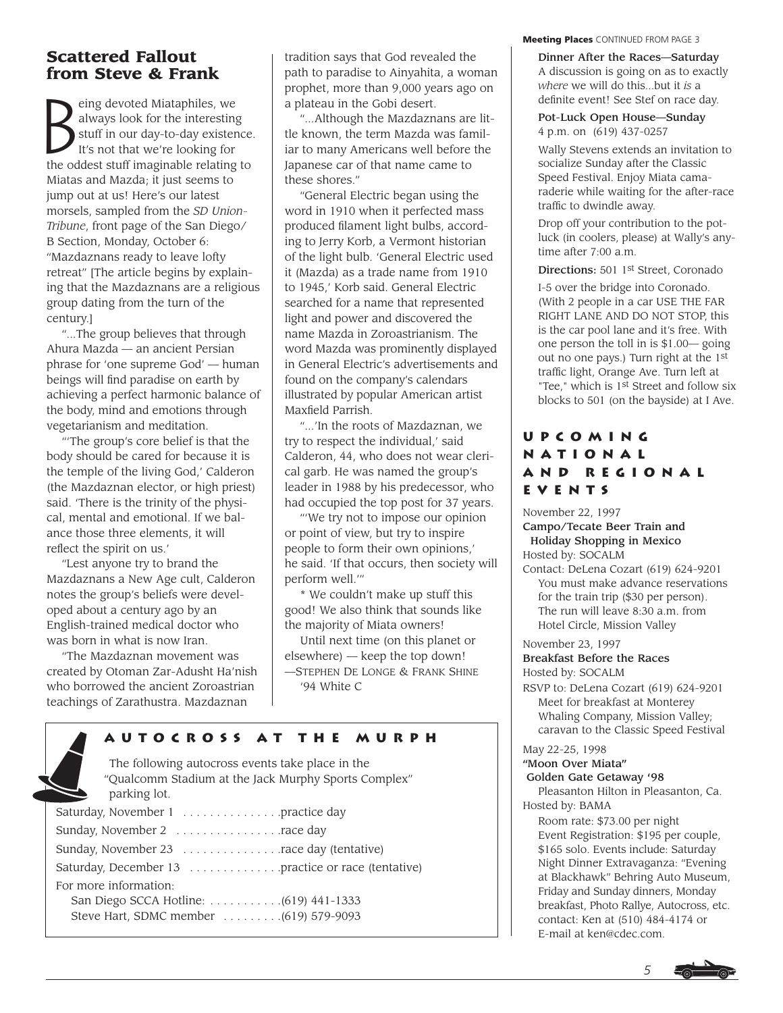# **Scattered Fallout from Steve & Frank**

 $B_{\mathrm{B}}^{\mathrm{S}}$ eing devoted Miataphiles, we always look for the interesting stuff in our day-to-day existence. It's not that we're looking for the oddest stuff imaginable relating to Miatas and Mazda; it just seems to jump out at us! Here's our latest morsels, sampled from the *SD Union-Tribune*, front page of the San Diego/ B Section, Monday, October 6: "Mazdaznans ready to leave lofty retreat" [The article begins by explaining that the Mazdaznans are a religious group dating from the turn of the century.]

"...The group believes that through Ahura Mazda — an ancient Persian phrase for 'one supreme God' — human beings will find paradise on earth by achieving a perfect harmonic balance of the body, mind and emotions through vegetarianism and meditation.

"'The group's core belief is that the body should be cared for because it is the temple of the living God,' Calderon (the Mazdaznan elector, or high priest) said. 'There is the trinity of the physical, mental and emotional. If we balance those three elements, it will reflect the spirit on us.'

"Lest anyone try to brand the Mazdaznans a New Age cult, Calderon notes the group's beliefs were developed about a century ago by an English-trained medical doctor who was born in what is now Iran.

"The Mazdaznan movement was created by Otoman Zar-Adusht Ha'nish who borrowed the ancient Zoroastrian teachings of Zarathustra. Mazdaznan

tradition says that God revealed the path to paradise to Ainyahita, a woman prophet, more than 9,000 years ago on a plateau in the Gobi desert.

"...Although the Mazdaznans are little known, the term Mazda was familiar to many Americans well before the Japanese car of that name came to these shores."

"General Electric began using the word in 1910 when it perfected mass produced filament light bulbs, according to Jerry Korb, a Vermont historian of the light bulb. 'General Electric used it (Mazda) as a trade name from 1910 to 1945,' Korb said. General Electric searched for a name that represented light and power and discovered the name Mazda in Zoroastrianism. The word Mazda was prominently displayed in General Electric's advertisements and found on the company's calendars illustrated by popular American artist Maxfield Parrish.

"...'In the roots of Mazdaznan, we try to respect the individual,' said Calderon, 44, who does not wear clerical garb. He was named the group's leader in 1988 by his predecessor, who had occupied the top post for 37 years.

"'We try not to impose our opinion or point of view, but try to inspire people to form their own opinions,' he said. 'If that occurs, then society will perform well.'"

\* We couldn't make up stuff this good! We also think that sounds like the majority of Miata owners!

Until next time (on this planet or elsewhere) — keep the top down! —STEPHEN DE LONGE & FRANK SHINE '94 White C

# **Autocross at the Murph**

The following autocross events take place in the "Qualcomm Stadium at the Jack Murphy Sports Complex" parking lot. Saturday, November 1 . . . . . . . . . . . . . . .practice day

| $\sigma$ $\sigma$                                  |
|----------------------------------------------------|
|                                                    |
|                                                    |
| Saturday, December 13 practice or race (tentative) |
| For more information:                              |
|                                                    |
| Steve Hart, SDMC member  (619) 579-9093            |
|                                                    |

#### **Meeting Places** CONTINUED FROM PAGE 3

Dinner After the Races—Saturday A discussion is going on as to exactly *where* we will do this...but it *is* a definite event! See Stef on race day.

Pot-Luck Open House—Sunday 4 p.m. on (619) 437-0257

Wally Stevens extends an invitation to socialize Sunday after the Classic Speed Festival. Enjoy Miata camaraderie while waiting for the after-race traffic to dwindle away.

Drop off your contribution to the potluck (in coolers, please) at Wally's anytime after 7:00 a.m.

Directions: 501 1st Street, Coronado

I-5 over the bridge into Coronado. (With 2 people in a car USE THE FAR RIGHT LANE AND DO NOT STOP, this is the car pool lane and it's free. With one person the toll in is \$1.00— going out no one pays.) Turn right at the 1st traffic light, Orange Ave. Turn left at "Tee," which is 1st Street and follow six blocks to 501 (on the bayside) at I Ave.

# **Upcoming National and Regional Events**

November 22, 1997

Campo/Tecate Beer Train and Holiday Shopping in Mexico Hosted by: SOCALM

Contact: DeLena Cozart (619) 624-9201 You must make advance reservations for the train trip (\$30 per person). The run will leave 8:30 a.m. from Hotel Circle, Mission Valley

November 23, 1997

Breakfast Before the Races Hosted by: SOCALM

RSVP to: DeLena Cozart (619) 624-9201 Meet for breakfast at Monterey Whaling Company, Mission Valley; caravan to the Classic Speed Festival

May 22-25, 1998

"Moon Over Miata"

Golden Gate Getaway '98

Pleasanton Hilton in Pleasanton, Ca. Hosted by: BAMA

Room rate: \$73.00 per night Event Registration: \$195 per couple, \$165 solo. Events include: Saturday Night Dinner Extravaganza: "Evening at Blackhawk" Behring Auto Museum, Friday and Sunday dinners, Monday breakfast, Photo Rallye, Autocross, etc. contact: Ken at (510) 484-4174 or E-mail at ken@cdec.com.

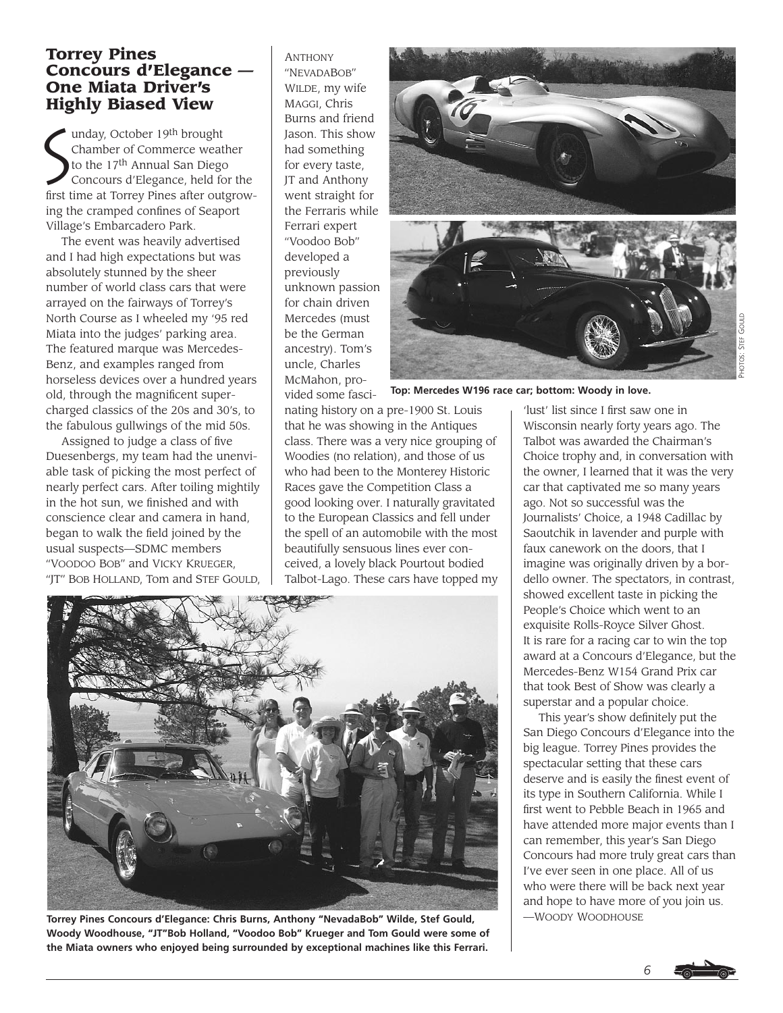# **Torrey Pines Concours d'Elegance — One Miata Driver's Highly Biased View**

 $\sum_{t=1}^{n}$ unday, October 19th brought Chamber of Commerce weather to the 17th Annual San Diego Concours d'Elegance, held for the first time at Torrey Pines after outgrowing the cramped confines of Seaport Village's Embarcadero Park.

The event was heavily advertised and I had high expectations but was absolutely stunned by the sheer number of world class cars that were arrayed on the fairways of Torrey's North Course as I wheeled my '95 red Miata into the judges' parking area. The featured marque was Mercedes-Benz, and examples ranged from horseless devices over a hundred years old, through the magnificent supercharged classics of the 20s and 30's, to the fabulous gullwings of the mid 50s.

Assigned to judge a class of five Duesenbergs, my team had the unenviable task of picking the most perfect of nearly perfect cars. After toiling mightily in the hot sun, we finished and with conscience clear and camera in hand, began to walk the field joined by the usual suspects—SDMC members "VOODOO BOB" and VICKY KRUEGER, "JT" BOB HOLLAND, Tom and STEF GOULD, ANTHONY "NEVADABOB" WILDE, my wife MAGGI, Chris Burns and friend Jason. This show had something for every taste, JT and Anthony went straight for the Ferraris while Ferrari expert "Voodoo Bob" developed a previously unknown passion for chain driven Mercedes (must be the German ancestry). Tom's uncle, Charles McMahon, provided some fasci-





**Top: Mercedes W196 race car; bottom: Woody in love.**

nating history on a pre-1900 St. Louis that he was showing in the Antiques class. There was a very nice grouping of Woodies (no relation), and those of us who had been to the Monterey Historic Races gave the Competition Class a good looking over. I naturally gravitated to the European Classics and fell under the spell of an automobile with the most beautifully sensuous lines ever conceived, a lovely black Pourtout bodied Talbot-Lago. These cars have topped my



**Torrey Pines Concours d'Elegance: Chris Burns, Anthony "NevadaBob" Wilde, Stef Gould, Woody Woodhouse, "JT"Bob Holland, "Voodoo Bob" Krueger and Tom Gould were some of the Miata owners who enjoyed being surrounded by exceptional machines like this Ferrari.**

'lust' list since I first saw one in Wisconsin nearly forty years ago. The Talbot was awarded the Chairman's Choice trophy and, in conversation with the owner, I learned that it was the very car that captivated me so many years ago. Not so successful was the Journalists' Choice, a 1948 Cadillac by Saoutchik in lavender and purple with faux canework on the doors, that I imagine was originally driven by a bordello owner. The spectators, in contrast, showed excellent taste in picking the People's Choice which went to an exquisite Rolls-Royce Silver Ghost. It is rare for a racing car to win the top award at a Concours d'Elegance, but the Mercedes-Benz W154 Grand Prix car that took Best of Show was clearly a superstar and a popular choice.

This year's show definitely put the San Diego Concours d'Elegance into the big league. Torrey Pines provides the spectacular setting that these cars deserve and is easily the finest event of its type in Southern California. While I first went to Pebble Beach in 1965 and have attended more major events than I can remember, this year's San Diego Concours had more truly great cars than I've ever seen in one place. All of us who were there will be back next year and hope to have more of you join us. —WOODY WOODHOUSE

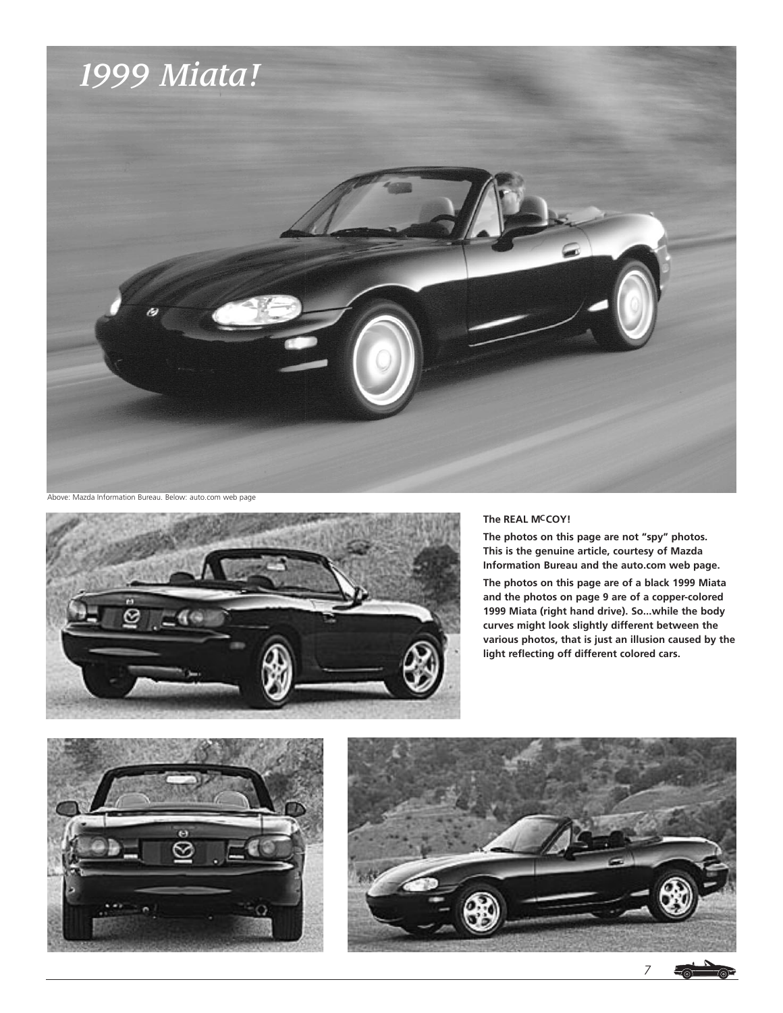



#### **The REAL MCCOY!**

**The photos on this page are not "spy" photos. This is the genuine article, courtesy of Mazda Information Bureau and the auto.com web page.**

**The photos on this page are of a black 1999 Miata and the photos on page 9 are of a copper-colored 1999 Miata (right hand drive). So...while the body curves might look slightly different between the various photos, that is just an illusion caused by the light reflecting off different colored cars.**





*7*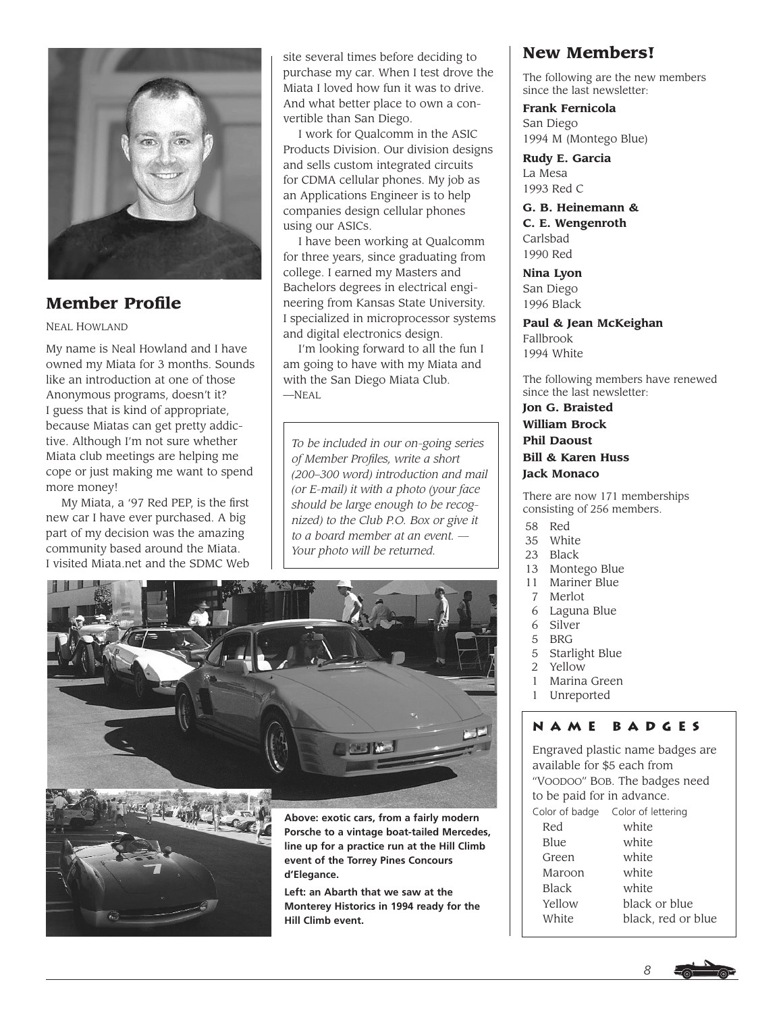

# **Member Profile**

#### NEAL HOWLAND

My name is Neal Howland and I have owned my Miata for 3 months. Sounds like an introduction at one of those Anonymous programs, doesn't it? I guess that is kind of appropriate, because Miatas can get pretty addictive. Although I'm not sure whether Miata club meetings are helping me cope or just making me want to spend more money!

My Miata, a '97 Red PEP, is the first new car I have ever purchased. A big part of my decision was the amazing community based around the Miata. I visited Miata.net and the SDMC Web

site several times before deciding to purchase my car. When I test drove the Miata I loved how fun it was to drive. And what better place to own a convertible than San Diego.

I work for Qualcomm in the ASIC Products Division. Our division designs and sells custom integrated circuits for CDMA cellular phones. My job as an Applications Engineer is to help companies design cellular phones using our ASICs.

I have been working at Qualcomm for three years, since graduating from college. I earned my Masters and Bachelors degrees in electrical engineering from Kansas State University. I specialized in microprocessor systems and digital electronics design.

I'm looking forward to all the fun I am going to have with my Miata and with the San Diego Miata Club. —NEAL

*To be included in our on-going series of Member Profiles, write a short (200–300 word) introduction and mail (or E-mail) it with a photo (your face should be large enough to be recognized) to the Club P.O. Box or give it to a board member at an event. — Your photo will be returned.*





**Above: exotic cars, from a fairly modern Porsche to a vintage boat-tailed Mercedes, line up for a practice run at the Hill Climb event of the Torrey Pines Concours d'Elegance.**

**Left: an Abarth that we saw at the Monterey Historics in 1994 ready for the Hill Climb event.**

# **New Members!**

The following are the new members since the last newsletter:

**Frank Fernicola** San Diego 1994 M (Montego Blue)

**Rudy E. Garcia** La Mesa 1993 Red C

**G. B. Heinemann & C. E. Wengenroth** Carlsbad 1990 Red

**Nina Lyon** San Diego 1996 Black

**Paul & Jean McKeighan** Fallbrook 1994 White

The following members have renewed since the last newsletter:

**Jon G. Braisted William Brock Phil Daoust Bill & Karen Huss Jack Monaco**

There are now 171 memberships consisting of 256 members.

- 58 Red<br>35 Whit
- White
- 23 Black
- 13 Montego Blue
- 11 Mariner Blue
- 7 Merlot
- 6 Laguna Blue
- 6 Silver
- 5 BRG<br>5 Starl
- 5 Starlight Blue<br>2 Yellow **Yellow**
- 1 Marina Green
- 1 Unreported

# **name badges**

Engraved plastic name badges are available for \$5 each from "VOODOO" BOB. The badges need to be paid for in advance. Color of badge Color of lettering Red white Blue white Green white Maroon white Black white Yellow black or blue White black, red or blue